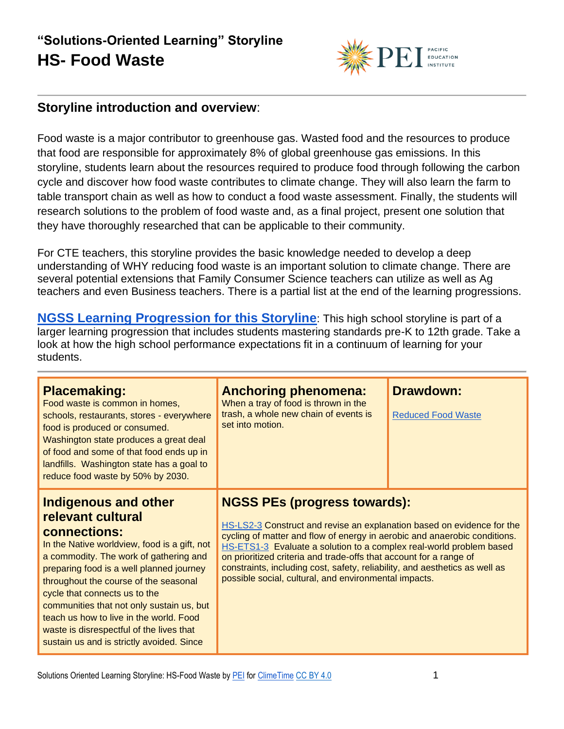

#### **Storyline introduction and overview**:

Food waste is a major contributor to greenhouse gas. Wasted food and the resources to produce that food are responsible for approximately 8% of global greenhouse gas emissions. In this storyline, students learn about the resources required to produce food through following the carbon cycle and discover how food waste contributes to climate change. They will also learn the farm to table transport chain as well as how to conduct a food waste assessment. Finally, the students will research solutions to the problem of food waste and, as a final project, present one solution that they have thoroughly researched that can be applicable to their community.

For CTE teachers, this storyline provides the basic knowledge needed to develop a deep understanding of WHY reducing food waste is an important solution to climate change. There are several potential extensions that Family Consumer Science teachers can utilize as well as Ag teachers and even Business teachers. There is a partial list at the end of the learning progressions.

**[NGSS Learning Progression for this Storyline](https://pacificeductioninstitute.sharepoint.com/:x:/s/Program/EVbT_LcvK9ZLv6JltsAvbpEBHaNLj_wMBpQe7UriIBFBNg?e=jRPh6M)**: This high school storyline is part of a larger learning progression that includes students mastering standards pre-K to 12th grade. Take a look at how the high school performance expectations fit in a continuum of learning for your students.

| <b>Placemaking:</b><br>Food waste is common in homes,<br>schools, restaurants, stores - everywhere<br>food is produced or consumed.<br>Washington state produces a great deal<br>of food and some of that food ends up in<br>landfills. Washington state has a goal to<br>reduce food waste by 50% by 2030.                                                                                                                                                       | <b>Anchoring phenomena:</b><br>When a tray of food is thrown in the<br>trash, a whole new chain of events is<br>set into motion.                                                                                                                                                                                                                                                                                                                                                | <b>Drawdown:</b><br><b>Reduced Food Waste</b> |
|-------------------------------------------------------------------------------------------------------------------------------------------------------------------------------------------------------------------------------------------------------------------------------------------------------------------------------------------------------------------------------------------------------------------------------------------------------------------|---------------------------------------------------------------------------------------------------------------------------------------------------------------------------------------------------------------------------------------------------------------------------------------------------------------------------------------------------------------------------------------------------------------------------------------------------------------------------------|-----------------------------------------------|
| Indigenous and other<br>relevant cultural<br><b>connections:</b><br>In the Native worldview, food is a gift, not<br>a commodity. The work of gathering and<br>preparing food is a well planned journey<br>throughout the course of the seasonal<br>cycle that connects us to the<br>communities that not only sustain us, but<br>teach us how to live in the world. Food<br>waste is disrespectful of the lives that<br>sustain us and is strictly avoided. Since | <b>NGSS PEs (progress towards):</b><br>HS-LS2-3 Construct and revise an explanation based on evidence for the<br>cycling of matter and flow of energy in aerobic and anaerobic conditions.<br>HS-ETS1-3 Evaluate a solution to a complex real-world problem based<br>on prioritized criteria and trade-offs that account for a range of<br>constraints, including cost, safety, reliability, and aesthetics as well as<br>possible social, cultural, and environmental impacts. |                                               |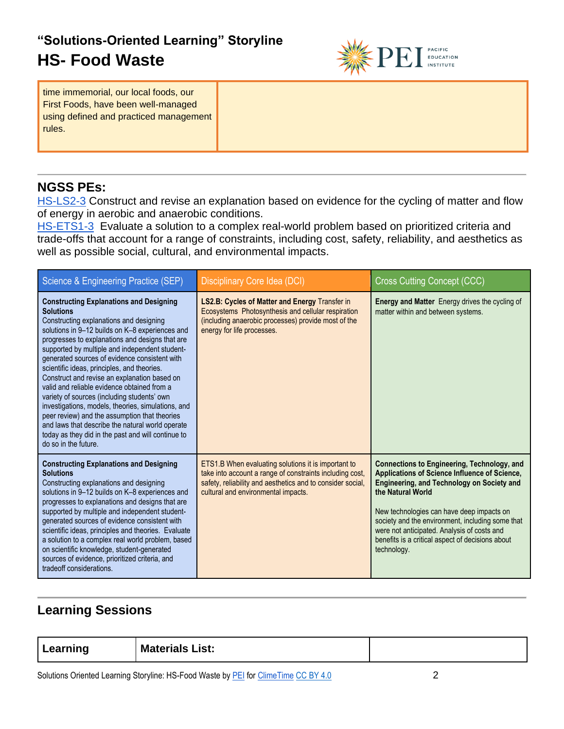

time immemorial, our local foods, our First Foods, have been well-managed using defined and practiced management rules.

### **NGSS PEs:**

[HS-LS2-3](https://www.nextgenscience.org/sites/default/files/evidence_statement/black_white/HS-LS2-3%20Evidence%20Statements%20June%202015%20asterisks.pdf) Construct and revise an explanation based on evidence for the cycling of matter and flow of energy in aerobic and anaerobic conditions.

[HS-ETS1-3](https://www.nextgenscience.org/sites/default/files/evidence_statement/black_white/HS-ETS1-3%20Evidence%20Statements%20June%202015%20asterisks.pdf) Evaluate a solution to a complex real-world problem based on prioritized criteria and trade-offs that account for a range of constraints, including cost, safety, reliability, and aesthetics as well as possible social, cultural, and environmental impacts.

| Science & Engineering Practice (SEP)                                                                                                                                                                                                                                                                                                                                                                                                                                                                                                                                                                                                                                                                                                                         | Disciplinary Core Idea (DCI)                                                                                                                                                                                         | <b>Cross Cutting Concept (CCC)</b>                                                                                                                                                                                                                                                                                                                                                               |
|--------------------------------------------------------------------------------------------------------------------------------------------------------------------------------------------------------------------------------------------------------------------------------------------------------------------------------------------------------------------------------------------------------------------------------------------------------------------------------------------------------------------------------------------------------------------------------------------------------------------------------------------------------------------------------------------------------------------------------------------------------------|----------------------------------------------------------------------------------------------------------------------------------------------------------------------------------------------------------------------|--------------------------------------------------------------------------------------------------------------------------------------------------------------------------------------------------------------------------------------------------------------------------------------------------------------------------------------------------------------------------------------------------|
| <b>Constructing Explanations and Designing</b><br><b>Solutions</b><br>Constructing explanations and designing<br>solutions in 9-12 builds on K-8 experiences and<br>progresses to explanations and designs that are<br>supported by multiple and independent student-<br>generated sources of evidence consistent with<br>scientific ideas, principles, and theories.<br>Construct and revise an explanation based on<br>valid and reliable evidence obtained from a<br>variety of sources (including students' own<br>investigations, models, theories, simulations, and<br>peer review) and the assumption that theories<br>and laws that describe the natural world operate<br>today as they did in the past and will continue to<br>do so in the future. | <b>LS2.B: Cycles of Matter and Energy Transfer in</b><br>Ecosystems Photosynthesis and cellular respiration<br>(including anaerobic processes) provide most of the<br>energy for life processes.                     | Energy and Matter Energy drives the cycling of<br>matter within and between systems.                                                                                                                                                                                                                                                                                                             |
| <b>Constructing Explanations and Designing</b><br><b>Solutions</b><br>Constructing explanations and designing<br>solutions in 9-12 builds on K-8 experiences and<br>progresses to explanations and designs that are<br>supported by multiple and independent student-<br>generated sources of evidence consistent with<br>scientific ideas, principles and theories. Evaluate<br>a solution to a complex real world problem, based<br>on scientific knowledge, student-generated<br>sources of evidence, prioritized criteria, and<br>tradeoff considerations.                                                                                                                                                                                               | ETS1.B When evaluating solutions it is important to<br>take into account a range of constraints including cost,<br>safety, reliability and aesthetics and to consider social,<br>cultural and environmental impacts. | <b>Connections to Engineering, Technology, and</b><br>Applications of Science Influence of Science,<br><b>Engineering, and Technology on Society and</b><br>the Natural World<br>New technologies can have deep impacts on<br>society and the environment, including some that<br>were not anticipated. Analysis of costs and<br>benefits is a critical aspect of decisions about<br>technology. |

### **Learning Sessions**

**Learning Materials List:**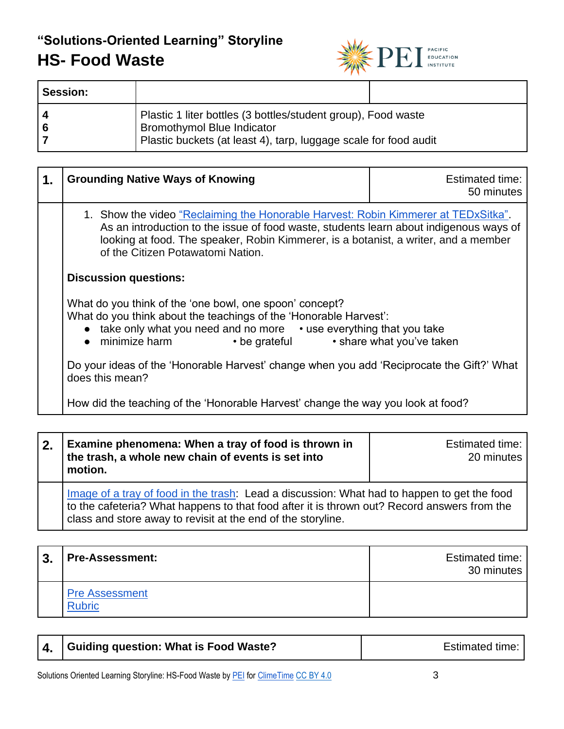

| <b>Session:</b> |                                                                                                                                                                        |  |
|-----------------|------------------------------------------------------------------------------------------------------------------------------------------------------------------------|--|
| l 4.<br>l 6     | Plastic 1 liter bottles (3 bottles/student group), Food waste<br><b>Bromothymol Blue Indicator</b><br>Plastic buckets (at least 4), tarp, luggage scale for food audit |  |

| 1. | <b>Grounding Native Ways of Knowing</b>                                                                                                                                                                                                                                                                  | Estimated time:<br>50 minutes |
|----|----------------------------------------------------------------------------------------------------------------------------------------------------------------------------------------------------------------------------------------------------------------------------------------------------------|-------------------------------|
|    | 1. Show the video "Reclaiming the Honorable Harvest: Robin Kimmerer at TEDxSitka".<br>As an introduction to the issue of food waste, students learn about indigenous ways of<br>looking at food. The speaker, Robin Kimmerer, is a botanist, a writer, and a member<br>of the Citizen Potawatomi Nation. |                               |
|    | <b>Discussion questions:</b>                                                                                                                                                                                                                                                                             |                               |
|    | What do you think of the 'one bowl, one spoon' concept?<br>What do you think about the teachings of the 'Honorable Harvest':<br>• take only what you need and no more • use everything that you take<br>$\bullet$ minimize harm<br>$\bullet$ be grateful                                                 | • share what you've taken     |
|    | Do your ideas of the 'Honorable Harvest' change when you add 'Reciprocate the Gift?' What<br>does this mean?                                                                                                                                                                                             |                               |
|    | How did the teaching of the 'Honorable Harvest' change the way you look at food?                                                                                                                                                                                                                         |                               |

| 2. | Examine phenomena: When a tray of food is thrown in<br>the trash, a whole new chain of events is set into<br>motion.                                                                                                                                       | Estimated time:<br>20 minutes |
|----|------------------------------------------------------------------------------------------------------------------------------------------------------------------------------------------------------------------------------------------------------------|-------------------------------|
|    | Image of a tray of food in the trash: Lead a discussion: What had to happen to get the food<br>to the cafeteria? What happens to that food after it is thrown out? Record answers from the<br>class and store away to revisit at the end of the storyline. |                               |

| 3. | <b>Pre-Assessment:</b>                 | Estimated time:<br>30 minutes |
|----|----------------------------------------|-------------------------------|
|    | <b>Pre Assessment</b><br><b>Rubric</b> |                               |

|  | 4.   Guiding question: What is Food Waste? | <b>Estimated time:</b> |
|--|--------------------------------------------|------------------------|
|--|--------------------------------------------|------------------------|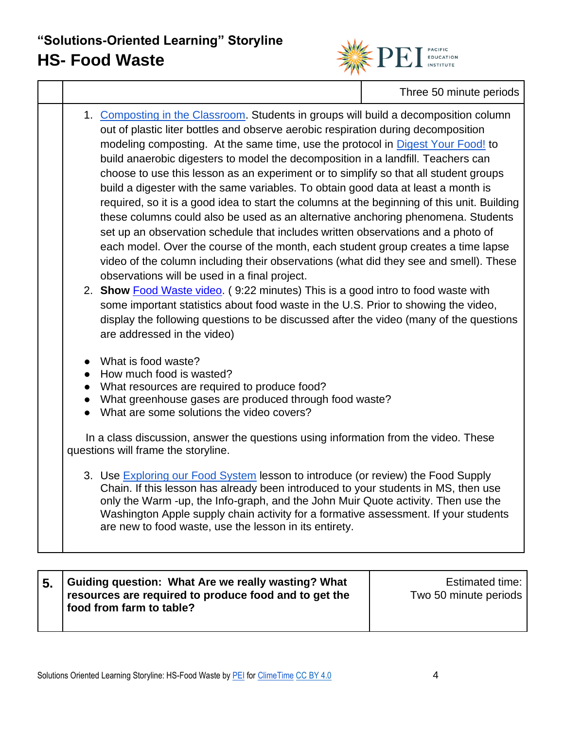

Three 50 minute periods

1. [Composting in the Classroom.](http://cwmi.css.cornell.edu/compostingintheclassroom.pdf) Students in groups will build a decomposition column out of plastic liter bottles and observe aerobic respiration during decomposition modeling composting. At the same time, use the protocol in [Digest Your Food!](https://www.teachengineering.org/activities/view/usf_biorecycling_lesson01_activity1) to build anaerobic digesters to model the decomposition in a landfill. Teachers can choose to use this lesson as an experiment or to simplify so that all student groups build a digester with the same variables. To obtain good data at least a month is required, so it is a good idea to start the columns at the beginning of this unit. Building these columns could also be used as an alternative anchoring phenomena. Students set up an observation schedule that includes written observations and a photo of each model. Over the course of the month, each student group creates a time lapse video of the column including their observations (what did they see and smell). These observations will be used in a final project. 2. **Show** [Food Waste video.](https://www.youtube.com/watch?v=6RlxySFrkIM&t=330s) ( 9:22 minutes) This is a good intro to food waste with some important statistics about food waste in the U.S. Prior to showing the video, display the following questions to be discussed after the video (many of the questions are addressed in the video) ● What is food waste? • How much food is wasted? ● What resources are required to produce food? ● What greenhouse gases are produced through food waste? ● What are some solutions the video covers? In a class discussion, answer the questions using information from the video. These questions will frame the storyline. 3. Use [Exploring our Food System](http://www.foodspanlearning.org/_pdf/lesson-plan/unit1/lessona-food-system-lessonplan.pdf) lesson to introduce (or review) the Food Supply Chain. If this lesson has already been introduced to your students in MS, then use only the Warm -up, the Info-graph, and the John Muir Quote activity. Then use the Washington Apple supply chain activity for a formative assessment. If your students are new to food waste, use the lesson in its entirety.

| Guiding question: What Are we really wasting? What<br>resources are required to produce food and to get the<br>food from farm to table? | Estimated time:  <br>Two 50 minute periods |
|-----------------------------------------------------------------------------------------------------------------------------------------|--------------------------------------------|
|                                                                                                                                         |                                            |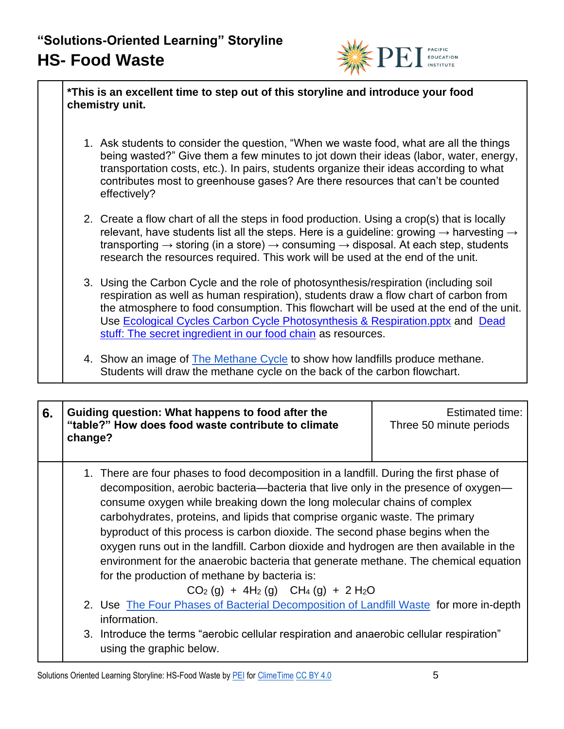

**\*This is an excellent time to step out of this storyline and introduce your food chemistry unit.**

- 1. Ask students to consider the question, "When we waste food, what are all the things being wasted?" Give them a few minutes to jot down their ideas (labor, water, energy, transportation costs, etc.). In pairs, students organize their ideas according to what contributes most to greenhouse gases? Are there resources that can't be counted effectively?
- 2. Create a flow chart of all the steps in food production. Using a crop(s) that is locally relevant, have students list all the steps. Here is a guideline: growing  $\rightarrow$  harvesting  $\rightarrow$ transporting  $\rightarrow$  storing (in a store)  $\rightarrow$  consuming  $\rightarrow$  disposal. At each step, students research the resources required. This work will be used at the end of the unit.
- 3. Using the Carbon Cycle and the role of photosynthesis/respiration (including soil respiration as well as human respiration), students draw a flow chart of carbon from the atmosphere to food consumption. This flowchart will be used at the end of the unit. Use [Ecological Cycles Carbon Cycle Photosynthesis & Respiration.pptx](https://www.reacchpna.org/sites/default/files/Unit%205%20Ecological%20Cycles%20Carbon%20Cycle%20Photosynthesis%20%26%20Respiration.pptx) and [Dead](https://www.youtube.com/watch?v=KI7u_pcfAQE)  [stuff: The secret ingredient in our food chain](https://www.youtube.com/watch?v=KI7u_pcfAQE) as resources.
- 4. Show an image of [The Methane Cycle](https://www.britannica.com/science/methane) to show how landfills produce methane. Students will draw the methane cycle on the back of the carbon flowchart.

| 6. | change? | Guiding question: What happens to food after the<br>"table?" How does food waste contribute to climate                                                                                                                                                                                                                                                                                                                                                                                                                                                                                                                                                                                           | Estimated time:<br>Three 50 minute periods |
|----|---------|--------------------------------------------------------------------------------------------------------------------------------------------------------------------------------------------------------------------------------------------------------------------------------------------------------------------------------------------------------------------------------------------------------------------------------------------------------------------------------------------------------------------------------------------------------------------------------------------------------------------------------------------------------------------------------------------------|--------------------------------------------|
|    |         | 1. There are four phases to food decomposition in a landfill. During the first phase of<br>decomposition, aerobic bacteria—bacteria that live only in the presence of oxygen—<br>consume oxygen while breaking down the long molecular chains of complex<br>carbohydrates, proteins, and lipids that comprise organic waste. The primary<br>byproduct of this process is carbon dioxide. The second phase begins when the<br>oxygen runs out in the landfill. Carbon dioxide and hydrogen are then available in the<br>environment for the anaerobic bacteria that generate methane. The chemical equation<br>for the production of methane by bacteria is:<br>$CO2(g) + 4H2(g)$ $CH4(g) + 2H2O$ |                                            |
|    |         | 2. Use The Four Phases of Bacterial Decomposition of Landfill Waste for more in-depth<br>information.                                                                                                                                                                                                                                                                                                                                                                                                                                                                                                                                                                                            |                                            |
|    |         | 3. Introduce the terms "aerobic cellular respiration and anaerobic cellular respiration"<br>using the graphic below.                                                                                                                                                                                                                                                                                                                                                                                                                                                                                                                                                                             |                                            |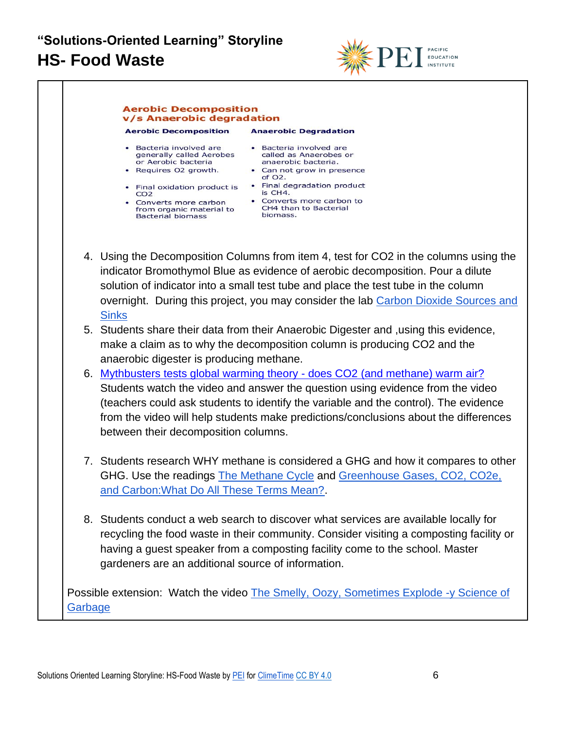

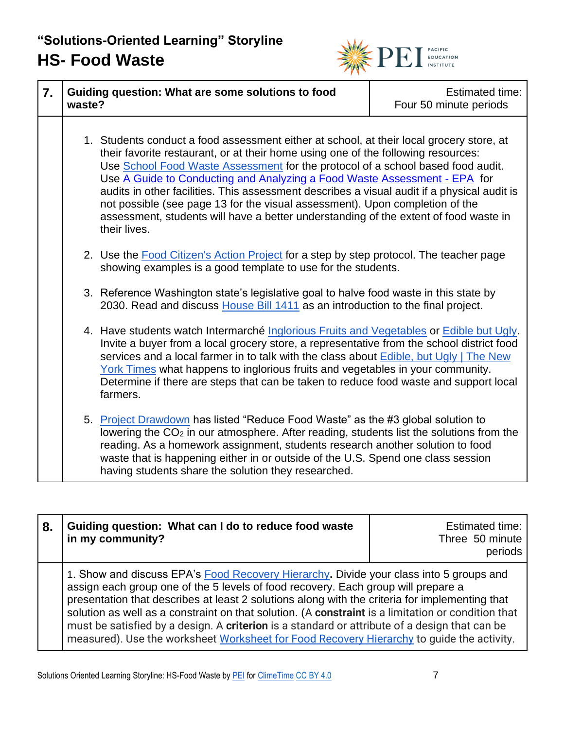

| 7. | waste? | Guiding question: What are some solutions to food                                                                                                                                                                                                                                                                                                                                                                                                                                                                                                                                                                                    | <b>Estimated time:</b><br>Four 50 minute periods |
|----|--------|--------------------------------------------------------------------------------------------------------------------------------------------------------------------------------------------------------------------------------------------------------------------------------------------------------------------------------------------------------------------------------------------------------------------------------------------------------------------------------------------------------------------------------------------------------------------------------------------------------------------------------------|--------------------------------------------------|
|    |        | 1. Students conduct a food assessment either at school, at their local grocery store, at<br>their favorite restaurant, or at their home using one of the following resources:<br>Use School Food Waste Assessment for the protocol of a school based food audit.<br>Use A Guide to Conducting and Analyzing a Food Waste Assessment - EPA for<br>audits in other facilities. This assessment describes a visual audit if a physical audit is<br>not possible (see page 13 for the visual assessment). Upon completion of the<br>assessment, students will have a better understanding of the extent of food waste in<br>their lives. |                                                  |
|    |        | 2. Use the Food Citizen's Action Project for a step by step protocol. The teacher page<br>showing examples is a good template to use for the students.                                                                                                                                                                                                                                                                                                                                                                                                                                                                               |                                                  |
|    |        | 3. Reference Washington state's legislative goal to halve food waste in this state by<br>2030. Read and discuss House Bill 1411 as an introduction to the final project.                                                                                                                                                                                                                                                                                                                                                                                                                                                             |                                                  |
|    |        | 4. Have students watch Intermarché Inglorious Fruits and Vegetables or Edible but Ugly.<br>Invite a buyer from a local grocery store, a representative from the school district food<br>services and a local farmer in to talk with the class about Edible, but Ugly   The New<br>York Times what happens to inglorious fruits and vegetables in your community.<br>Determine if there are steps that can be taken to reduce food waste and support local<br>farmers.                                                                                                                                                                |                                                  |
|    |        | 5. Project Drawdown has listed "Reduce Food Waste" as the #3 global solution to<br>lowering the CO <sub>2</sub> in our atmosphere. After reading, students list the solutions from the<br>reading. As a homework assignment, students research another solution to food<br>waste that is happening either in or outside of the U.S. Spend one class session<br>having students share the solution they researched.                                                                                                                                                                                                                   |                                                  |

| 8. | Guiding question: What can I do to reduce food waste<br>in my community?                                                                                                                                                                                                                                                                                                                                                                                                                                                                                                          | <b>Estimated time:</b><br>Three 50 minute<br>periods |
|----|-----------------------------------------------------------------------------------------------------------------------------------------------------------------------------------------------------------------------------------------------------------------------------------------------------------------------------------------------------------------------------------------------------------------------------------------------------------------------------------------------------------------------------------------------------------------------------------|------------------------------------------------------|
|    | 1. Show and discuss EPA's Food Recovery Hierarchy. Divide your class into 5 groups and<br>assign each group one of the 5 levels of food recovery. Each group will prepare a<br>presentation that describes at least 2 solutions along with the criteria for implementing that<br>solution as well as a constraint on that solution. (A constraint is a limitation or condition that<br>must be satisfied by a design. A criterion is a standard or attribute of a design that can be<br>measured). Use the worksheet Worksheet for Food Recovery Hierarchy to guide the activity. |                                                      |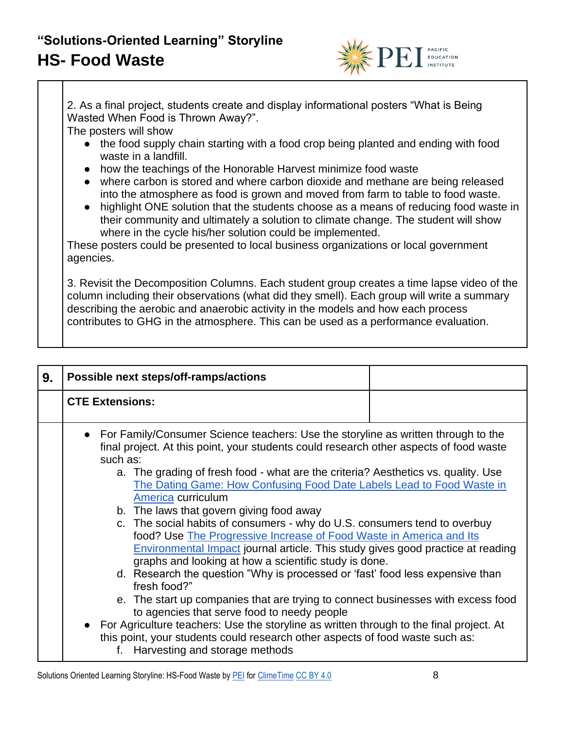

2. As a final project, students create and display informational posters "What is Being Wasted When Food is Thrown Away?".

The posters will show

- the food supply chain starting with a food crop being planted and ending with food waste in a landfill.
- how the teachings of the Honorable Harvest minimize food waste
- where carbon is stored and where carbon dioxide and methane are being released into the atmosphere as food is grown and moved from farm to table to food waste.
- highlight ONE solution that the students choose as a means of reducing food waste in their community and ultimately a solution to climate change. The student will show where in the cycle his/her solution could be implemented.

These posters could be presented to local business organizations or local government agencies.

3. Revisit the Decomposition Columns. Each student group creates a time lapse video of the column including their observations (what did they smell). Each group will write a summary describing the aerobic and anaerobic activity in the models and how each process contributes to GHG in the atmosphere. This can be used as a performance evaluation.

| 9. | Possible next steps/off-ramps/actions                                                                                                                                                                                                                                                                                                                                                                                                                                                                                                                                                                                                                                                                                                                                                                                                                                                                                                                                                                                                                                                                                                                                                   |
|----|-----------------------------------------------------------------------------------------------------------------------------------------------------------------------------------------------------------------------------------------------------------------------------------------------------------------------------------------------------------------------------------------------------------------------------------------------------------------------------------------------------------------------------------------------------------------------------------------------------------------------------------------------------------------------------------------------------------------------------------------------------------------------------------------------------------------------------------------------------------------------------------------------------------------------------------------------------------------------------------------------------------------------------------------------------------------------------------------------------------------------------------------------------------------------------------------|
|    | <b>CTE Extensions:</b>                                                                                                                                                                                                                                                                                                                                                                                                                                                                                                                                                                                                                                                                                                                                                                                                                                                                                                                                                                                                                                                                                                                                                                  |
|    | • For Family/Consumer Science teachers: Use the storyline as written through to the<br>final project. At this point, your students could research other aspects of food waste<br>such as:<br>a. The grading of fresh food - what are the criteria? Aesthetics vs. quality. Use<br>The Dating Game: How Confusing Food Date Labels Lead to Food Waste in<br>America curriculum<br>b. The laws that govern giving food away<br>c. The social habits of consumers - why do U.S. consumers tend to overbuy<br>food? Use The Progressive Increase of Food Waste in America and Its<br><b>Environmental Impact journal article. This study gives good practice at reading</b><br>graphs and looking at how a scientific study is done.<br>d. Research the question "Why is processed or 'fast' food less expensive than<br>fresh food?"<br>e. The start up companies that are trying to connect businesses with excess food<br>to agencies that serve food to needy people<br>• For Agriculture teachers: Use the storyline as written through to the final project. At<br>this point, your students could research other aspects of food waste such as:<br>f. Harvesting and storage methods |